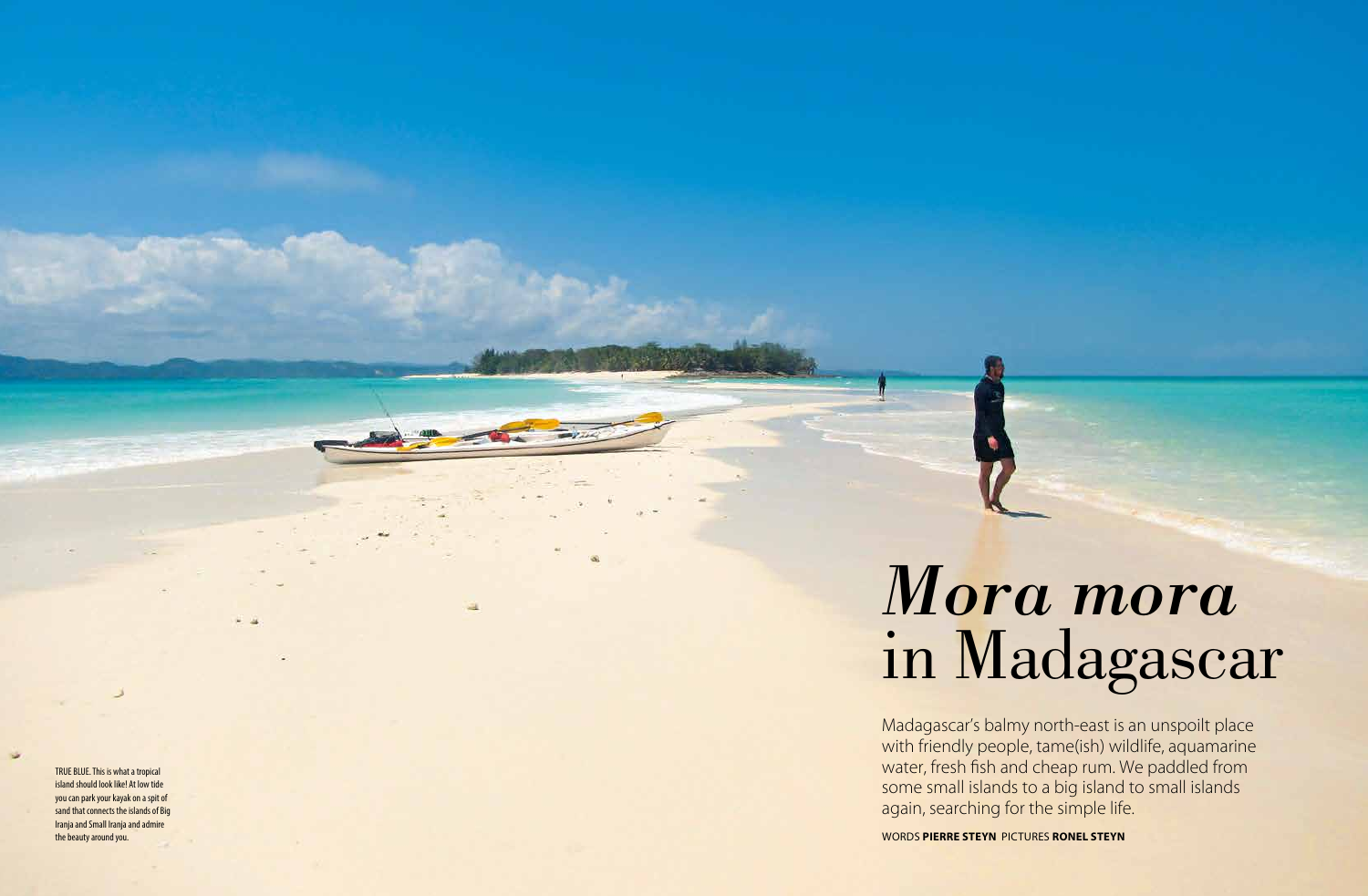Madagascar's balmy north-east is an unspoilt place with friendly people, tame(ish) wildlife, aquamarine water, fresh fish and cheap rum. We paddled from some small islands to a big island to small islands again, searching for the simple life.

WORDS **PIERRE STEYN** PICTURES **RONEL STEYN**

TRUE BLUE. This is what a tropical island should look like! At low tide you can park your kayak on a spit of sand that connects the islands of Big Iranja and Small Iranja and admire the beauty around you.

# *Mora mora* in Madagascar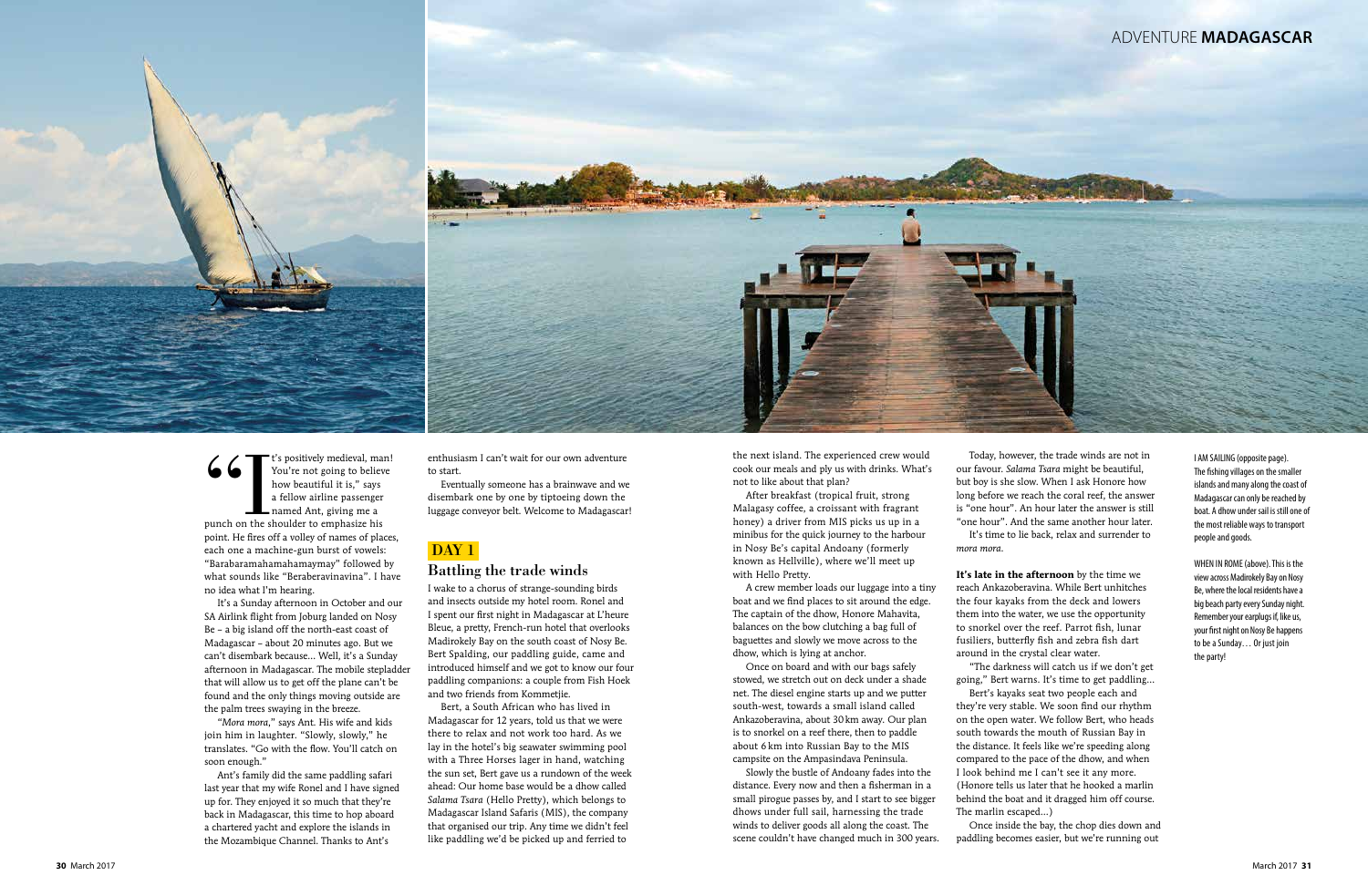

I AM SAILING (opposite page). The fishing villages on the smaller islands and many along the coast of Madagascar can only be reached by boat. A dhow under sail is still one of the most reliable ways to transport people and goods.

WHEN IN ROME (above). This is the view across Madirokely Bay on Nosy Be, where the local residents have a big beach party every Sunday night. Remember your earplugs if, like us, your first night on Nosy Be happens to be a Sunday… Or just join the party!

Gogge T<sup>t's</sup> positively medieval, man!<br>
You're not going to believe<br>
how beautiful it is," says<br>
a fellow airline passenger<br>
named Ant, giving me a<br>
punch on the shoulder to emphasize his You're not going to believe how beautiful it is," says a fellow airline passenger named Ant, giving me a point. He fires off a volley of names of places, each one a machine-gun burst of vowels: "Barabaramahamahamaymay" followed by what sounds like "Beraberavinavina". I have no idea what I'm hearing.

It's a Sunday afternoon in October and our SA Airlink flight from Joburg landed on Nosy Be – a big island off the north-east coast of Madagascar – about 20 minutes ago. But we can't disembark because… Well, it's a Sunday afternoon in Madagascar. The mobile stepladder that will allow us to get off the plane can't be found and the only things moving outside are the palm trees swaying in the breeze.

"*Mora mora*," says Ant. His wife and kids join him in laughter. "Slowly, slowly," he translates. "Go with the flow. You'll catch on soon enough."

Ant's family did the same paddling safari last year that my wife Ronel and I have signed up for. They enjoyed it so much that they're back in Madagascar, this time to hop aboard a chartered yacht and explore the islands in the Mozambique Channel. Thanks to Ant's

enthusiasm I can't wait for our own adventure to start.

Eventually someone has a brainwave and we disembark one by one by tiptoeing down the luggage conveyor belt. Welcome to Madagascar!

### DAY<sub>1</sub>

#### Battling the trade winds

I wake to a chorus of strange-sounding birds and insects outside my hotel room. Ronel and I spent our first night in Madagascar at L'heure Bleue, a pretty, French-run hotel that overlooks Madirokely Bay on the south coast of Nosy Be. Bert Spalding, our paddling guide, came and introduced himself and we got to know our four paddling companions: a couple from Fish Hoek and two friends from Kommetjie.

Bert, a South African who has lived in Madagascar for 12 years, told us that we were there to relax and not work too hard. As we lay in the hotel's big seawater swimming pool with a Three Horses lager in hand, watching the sun set, Bert gave us a rundown of the week ahead: Our home base would be a dhow called *Salama Tsara* (Hello Pretty), which belongs to Madagascar Island Safaris (MIS), the company that organised our trip. Any time we didn't feel like paddling we'd be picked up and ferried to

the next island. The experienced crew would cook our meals and ply us with drinks. What's not to like about that plan?

After breakfast (tropical fruit, strong Malagasy coffee, a croissant with fragrant honey) a driver from MIS picks us up in a minibus for the quick journey to the harbour in Nosy Be's capital Andoany (formerly known as Hellville), where we'll meet up with Hello Pretty.

A crew member loads our luggage into a tiny boat and we find places to sit around the edge. The captain of the dhow, Honore Mahavita, balances on the bow clutching a bag full of baguettes and slowly we move across to the dhow, which is lying at anchor.

Once on board and with our bags safely stowed, we stretch out on deck under a shade net. The diesel engine starts up and we putter south-west, towards a small island called Ankazoberavina, about 30km away. Our plan is to snorkel on a reef there, then to paddle about 6 km into Russian Bay to the MIS campsite on the Ampasindava Peninsula.

Slowly the bustle of Andoany fades into the distance. Every now and then a fisherman in a small pirogue passes by, and I start to see bigger dhows under full sail, harnessing the trade winds to deliver goods all along the coast. The scene couldn't have changed much in 300 years.

Today, however, the trade winds are not in our favour. *Salama Tsara* might be beautiful, but boy is she slow. When I ask Honore how long before we reach the coral reef, the answer is "one hour". An hour later the answer is still "one hour". And the same another hour later. It's time to lie back, relax and surrender to

*mora mora* .

**It's late in the afternoon** by the time we reach Ankazoberavina. While Bert unhitches the four kayaks from the deck and lowers them into the water, we use the opportunity to snorkel over the reef. Parrot fish, lunar fusiliers, butterfly fish and zebra fish dart around in the crystal clear water.

"The darkness will catch us if we don't get Bert's kayaks seat two people each and

going," Bert warns. It's time to get paddling… they're very stable. We soon find our rhythm on the open water. We follow Bert, who heads south towards the mouth of Russian Bay in the distance. It feels like we're speeding along compared to the pace of the dhow, and when I look behind me I can't see it any more. (Honore tells us later that he hooked a marlin behind the boat and it dragged him off course. The marlin escaped…)

Once inside the bay, the chop dies down and paddling becomes easier, but we're running out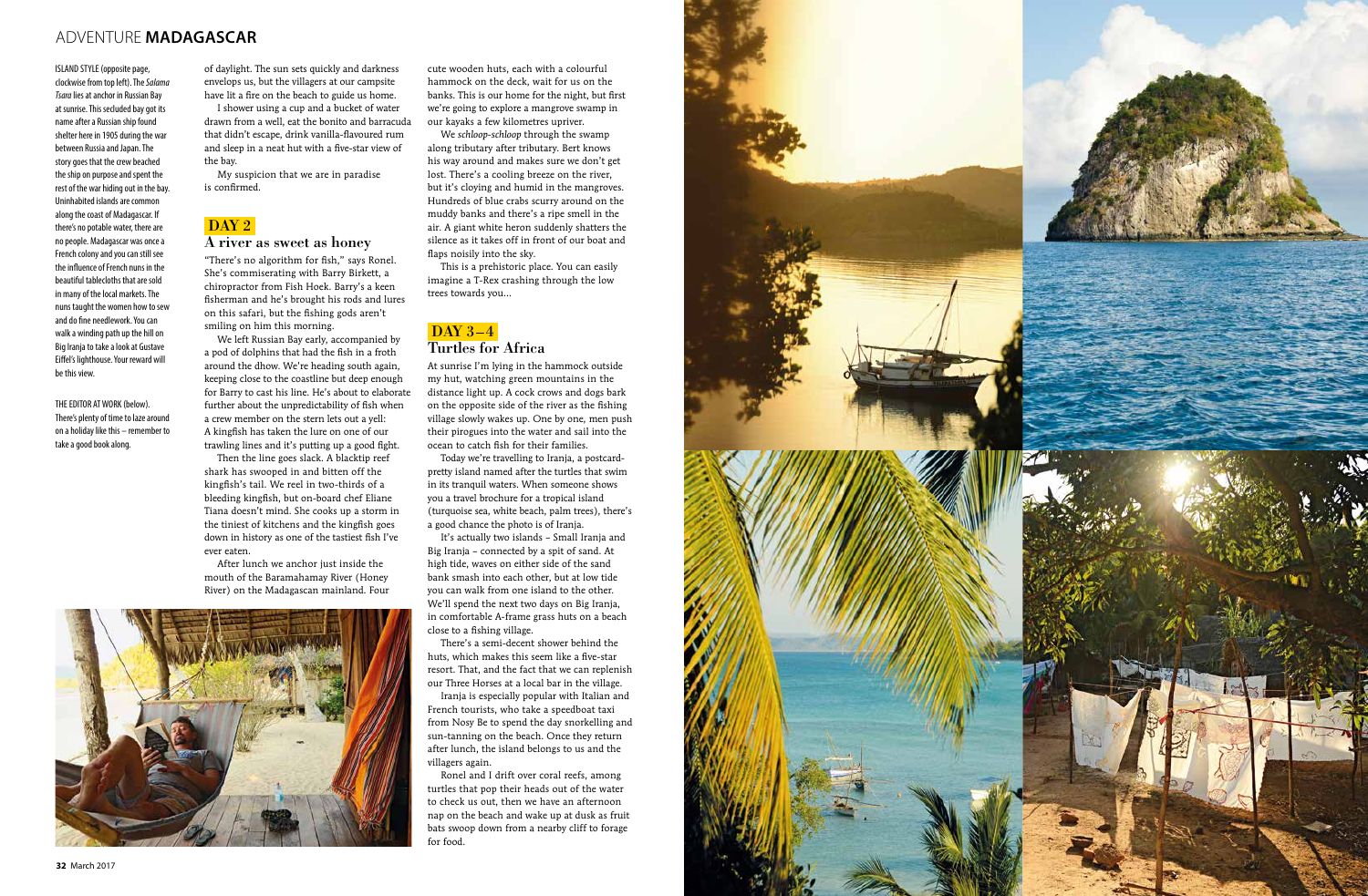**32** March 2017

## ADVENTURE **MADAGASCAR**



ISLAND STYLE (opposite page, clockwise from top left). The *Salama Tsara* lies at anchor in Russian Bay at sunrise. This secluded bay got its name after a Russian ship found shelter here in 1905 during the war between Russia and Japan. The story goes that the crew beached the ship on purpose and spent the rest of the war hiding out in the bay. Uninhabited islands are common along the coast of Madagascar. If there's no potable water, there are no people. Madagascar was once a French colony and you can still see the influence of French nuns in the beautiful tablecloths that are sold in many of the local markets. The nuns taught the women how to sew and do fine needlework. You can walk a winding path up the hill on Big Iranja to take a look at Gustave Eiffel's lighthouse. Your reward will be this view.

THE EDITOR AT WORK (below). There's plenty of time to laze around on a holiday like this – remember to take a good book along.

of daylight. The sun sets quickly and darkness envelops us, but the villagers at our campsite have lit a fire on the beach to guide us home.

I shower using a cup and a bucket of water drawn from a well, eat the bonito and barracuda that didn't escape, drink vanilla-flavoured rum and sleep in a neat hut with a five-star view of the bay.

My suspicion that we are in paradise is confirmed.

# DaY 2 A river as sweet as honey

"There's no algorithm for fish," says Ronel. She's commiserating with Barry Birkett, a chiropractor from Fish Hoek. Barry's a keen fisherman and he's brought his rods and lures on this safari, but the fishing gods aren't smiling on him this morning.

#### DAY 3-4 Turtles for Africa

We left Russian Bay early, accompanied by a pod of dolphins that had the fish in a froth around the dhow. We're heading south again, keeping close to the coastline but deep enough for Barry to cast his line. He's about to elaborate further about the unpredictability of fish when a crew member on the stern lets out a yell: A kingfish has taken the lure on one of our trawling lines and it's putting up a good fight.

Then the line goes slack. A blacktip reef shark has swooped in and bitten off the kingfish's tail. We reel in two-thirds of a bleeding kingfish, but on-board chef Eliane Tiana doesn't mind. She cooks up a storm in the tiniest of kitchens and the kingfish goes down in history as one of the tastiest fish I've ever eaten.

After lunch we anchor just inside the mouth of the Baramahamay River (Honey River) on the Madagascan mainland. Four

cute wooden huts, each with a colourful hammock on the deck, wait for us on the banks. This is our home for the night, but first we're going to explore a mangrove swamp in our kayaks a few kilometres upriver.

We *schloop-schloop* through the swamp along tributary after tributary. Bert knows his way around and makes sure we don't get lost. There's a cooling breeze on the river, but it's cloying and humid in the mangroves. Hundreds of blue crabs scurry around on the muddy banks and there's a ripe smell in the air. A giant white heron suddenly shatters the silence as it takes off in front of our boat and flaps noisily into the sky.

This is a prehistoric place. You can easily imagine a T-Rex crashing through the low trees towards you…

At sunrise I'm lying in the hammock outside my hut, watching green mountains in the distance light up. A cock crows and dogs bark on the opposite side of the river as the fishing village slowly wakes up. One by one, men push their pirogues into the water and sail into the ocean to catch fish for their families.

Today we're travelling to Iranja, a postcardpretty island named after the turtles that swim in its tranquil waters. When someone shows you a travel brochure for a tropical island (turquoise sea, white beach, palm trees), there's a good chance the photo is of Iranja.

It's actually two islands – Small Iranja and Big Iranja – connected by a spit of sand. At high tide, waves on either side of the sand bank smash into each other, but at low tide you can walk from one island to the other. We'll spend the next two days on Big Iranja, in comfortable A-frame grass huts on a beach close to a fishing village.

There's a semi-decent shower behind the huts, which makes this seem like a five-star resort. That, and the fact that we can replenish our Three Horses at a local bar in the village.

Iranja is especially popular with Italian and French tourists, who take a speedboat taxi from Nosy Be to spend the day snorkelling and sun-tanning on the beach. Once they return after lunch, the island belongs to us and the villagers again.

Ronel and I drift over coral reefs, among turtles that pop their heads out of the water to check us out, then we have an afternoon nap on the beach and wake up at dusk as fruit bats swoop down from a nearby cliff to forage for food.

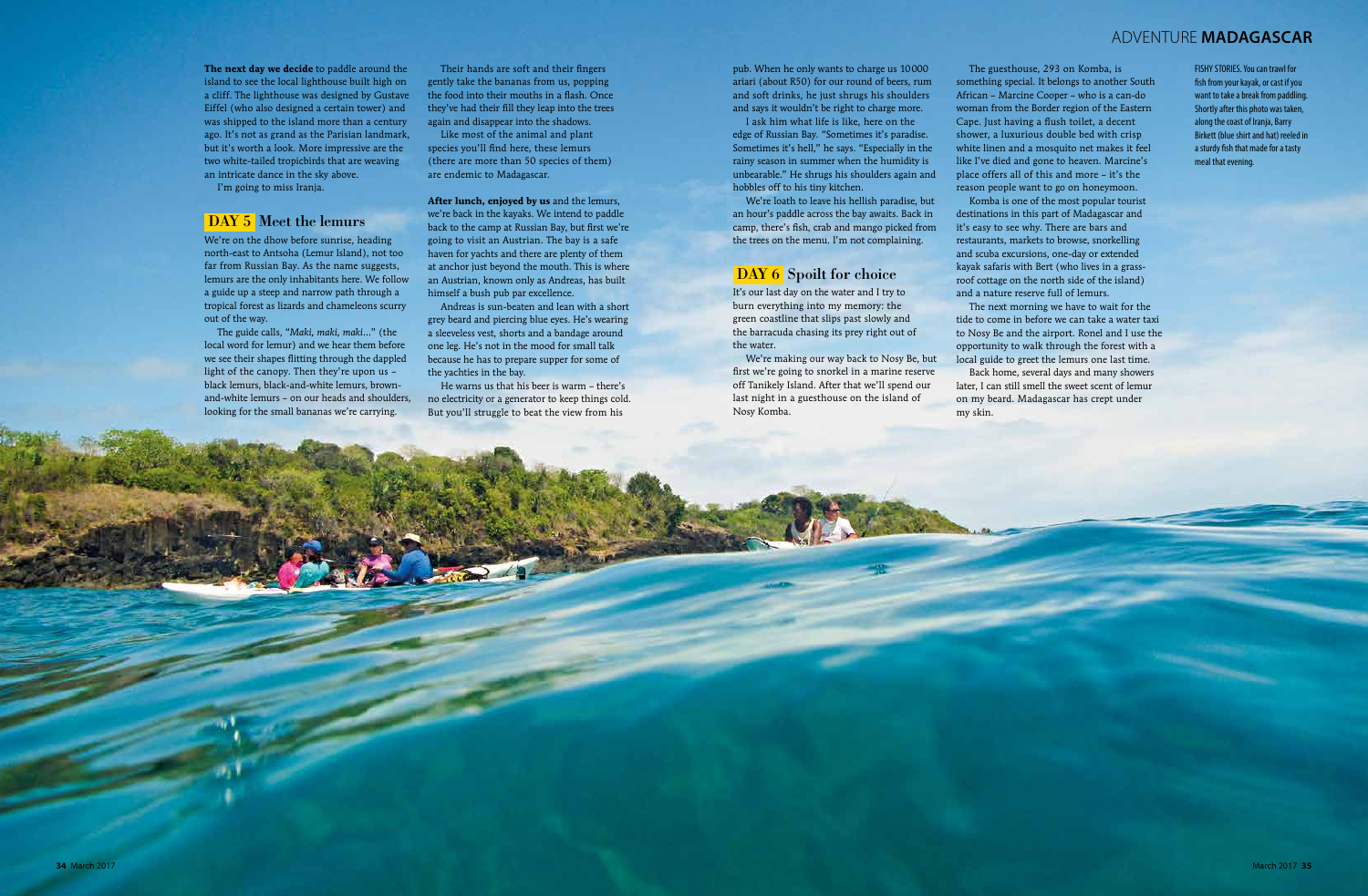## ADVENTURE **MADAGASCAR**

FISHY STORIES. You can trawl for fish from your kayak, or cast if you want to take a break from paddling. Shortly after this photo was taken, along the coast of Iranja, Barry Birkett (blue shirt and hat) reeled in a sturdy fish that made for a tasty meal that evening.

**The next day we decide** to paddle around the island to see the local lighthouse built high on a cliff. The lighthouse was designed by Gustave Eiffel (who also designed a certain tower) and was shipped to the island more than a century ago. It's not as grand as the Parisian landmark, but it's worth a look. More impressive are the two white-tailed tropicbirds that are weaving an intricate dance in the sky above.

I'm going to miss Iranja.

#### DaY 5 Meet the lemurs

We're on the dhow before sunrise, heading north-east to Antsoha (Lemur Island), not too far from Russian Bay. As the name suggests, lemurs are the only inhabitants here. We follow a guide up a steep and narrow path through a tropical forest as lizards and chameleons scurry out of the way.

The guide calls, "*Maki, maki, maki*…" (the local word for lemur) and we hear them before we see their shapes flitting through the dappled light of the canopy. Then they're upon us – black lemurs, black-and-white lemurs, brownand-white lemurs – on our heads and shoulders, looking for the small bananas we're carrying.

Their hands are soft and their fingers gently take the bananas from us, popping the food into their mouths in a flash. Once they've had their fill they leap into the trees again and disappear into the shadows.

Like most of the animal and plant species you'll find here, these lemurs (there are more than 50 species of them) are endemic to Madagascar.

**After lunch, enjoyed by us** and the lemurs, we're back in the kayaks. We intend to paddle back to the camp at Russian Bay, but first we're going to visit an Austrian. The bay is a safe haven for yachts and there are plenty of them at anchor just beyond the mouth. This is where an Austrian, known only as Andreas, has built himself a bush pub par excellence.

Andreas is sun-beaten and lean with a short grey beard and piercing blue eyes. He's wearing a sleeveless vest, shorts and a bandage around one leg. He's not in the mood for small talk because he has to prepare supper for some of the yachties in the bay.

He warns us that his beer is warm – there's no electricity or a generator to keep things cold. But you'll struggle to beat the view from his

pub. When he only wants to charge us 10000 ariari (about R50) for our round of beers, rum and soft drinks, he just shrugs his shoulders and says it wouldn't be right to charge more.

I ask him what life is like, here on the edge of Russian Bay. "Sometimes it's paradise. Sometimes it's hell," he says. "Especially in the rainy season in summer when the humidity is unbearable." He shrugs his shoulders again and hobbles off to his tiny kitchen.

We're loath to leave his hellish paradise, but an hour's paddle across the bay awaits. Back in camp, there's fish, crab and mango picked from the trees on the menu. I'm not complaining.

#### DAY 6 Spoilt for choice

It's our last day on the water and I try to burn everything into my memory: the green coastline that slips past slowly and the barracuda chasing its prey right out of the water.

We're making our way back to Nosy Be, but first we're going to snorkel in a marine reserve off Tanikely Island. After that we'll spend our last night in a guesthouse on the island of Nosy Komba.

The guesthouse, 293 on Komba, is something special. It belongs to another South African – Marcine Cooper – who is a can-do woman from the Border region of the Eastern Cape. Just having a flush toilet, a decent shower, a luxurious double bed with crisp white linen and a mosquito net makes it feel like I've died and gone to heaven. Marcine's place offers all of this and more – it's the reason people want to go on honeymoon. Komba is one of the most popular tourist destinations in this part of Madagascar and it's easy to see why. There are bars and restaurants, markets to browse, snorkelling and scuba excursions, one-day or extended kayak safaris with Bert (who lives in a grassroof cottage on the north side of the island) and a nature reserve full of lemurs.

The next morning we have to wait for the Back home, several days and many showers

tide to come in before we can take a water taxi to Nosy Be and the airport. Ronel and I use the opportunity to walk through the forest with a local guide to greet the lemurs one last time. later, I can still smell the sweet scent of lemur on my beard. Madagascar has crept under my skin.